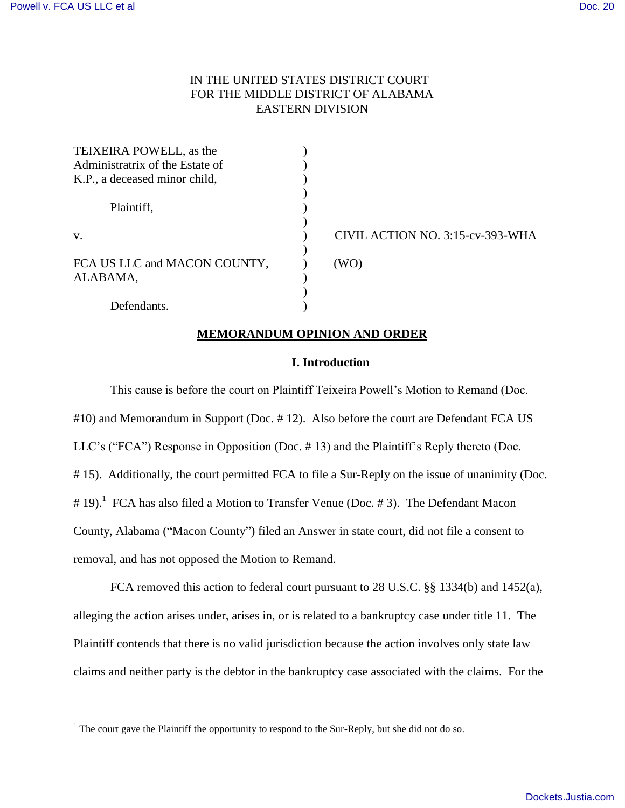l

# IN THE UNITED STATES DISTRICT COURT FOR THE MIDDLE DISTRICT OF ALABAMA EASTERN DIVISION

| TEIXEIRA POWELL, as the         |                                  |
|---------------------------------|----------------------------------|
| Administratrix of the Estate of |                                  |
| K.P., a deceased minor child,   |                                  |
|                                 |                                  |
| Plaintiff,                      |                                  |
|                                 |                                  |
| V.                              | CIVIL ACTION NO. 3:15-cv-393-WHA |
|                                 |                                  |
| FCA US LLC and MACON COUNTY,    | (WO)                             |
| ALABAMA,                        |                                  |
|                                 |                                  |
| Defendants.                     |                                  |

## **MEMORANDUM OPINION AND ORDER**

### **I. Introduction**

This cause is before the court on Plaintiff Teixeira Powell's Motion to Remand (Doc. #10) and Memorandum in Support (Doc. # 12). Also before the court are Defendant FCA US LLC's ("FCA") Response in Opposition (Doc. # 13) and the Plaintiff's Reply thereto (Doc. # 15). Additionally, the court permitted FCA to file a Sur-Reply on the issue of unanimity (Doc. # 19).<sup>1</sup> FCA has also filed a Motion to Transfer Venue (Doc. # 3). The Defendant Macon County, Alabama ("Macon County") filed an Answer in state court, did not file a consent to removal, and has not opposed the Motion to Remand.

FCA removed this action to federal court pursuant to 28 U.S.C. §§ 1334(b) and 1452(a), alleging the action arises under, arises in, or is related to a bankruptcy case under title 11. The Plaintiff contends that there is no valid jurisdiction because the action involves only state law claims and neither party is the debtor in the bankruptcy case associated with the claims. For the

 $1$  The court gave the Plaintiff the opportunity to respond to the Sur-Reply, but she did not do so.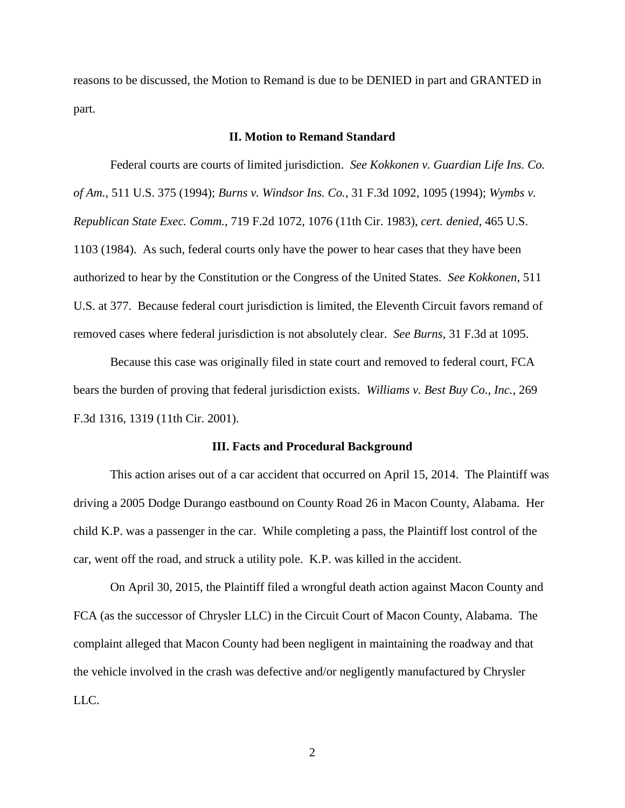reasons to be discussed, the Motion to Remand is due to be DENIED in part and GRANTED in part.

#### **II. Motion to Remand Standard**

Federal courts are courts of limited jurisdiction. *See Kokkonen v. Guardian Life Ins. Co. of Am.*, 511 U.S. 375 (1994); *Burns v. Windsor Ins. Co.*, 31 F.3d 1092, 1095 (1994); *Wymbs v. Republican State Exec. Comm.*, 719 F.2d 1072, 1076 (11th Cir. 1983), *cert. denied*, 465 U.S. 1103 (1984). As such, federal courts only have the power to hear cases that they have been authorized to hear by the Constitution or the Congress of the United States. *See Kokkonen*, 511 U.S. at 377. Because federal court jurisdiction is limited, the Eleventh Circuit favors remand of removed cases where federal jurisdiction is not absolutely clear. *See Burns*, 31 F.3d at 1095.

Because this case was originally filed in state court and removed to federal court, FCA bears the burden of proving that federal jurisdiction exists. *Williams v. Best Buy Co., Inc.*, 269 F.3d 1316, 1319 (11th Cir. 2001).

#### **III. Facts and Procedural Background**

This action arises out of a car accident that occurred on April 15, 2014. The Plaintiff was driving a 2005 Dodge Durango eastbound on County Road 26 in Macon County, Alabama. Her child K.P. was a passenger in the car. While completing a pass, the Plaintiff lost control of the car, went off the road, and struck a utility pole. K.P. was killed in the accident.

On April 30, 2015, the Plaintiff filed a wrongful death action against Macon County and FCA (as the successor of Chrysler LLC) in the Circuit Court of Macon County, Alabama. The complaint alleged that Macon County had been negligent in maintaining the roadway and that the vehicle involved in the crash was defective and/or negligently manufactured by Chrysler LLC.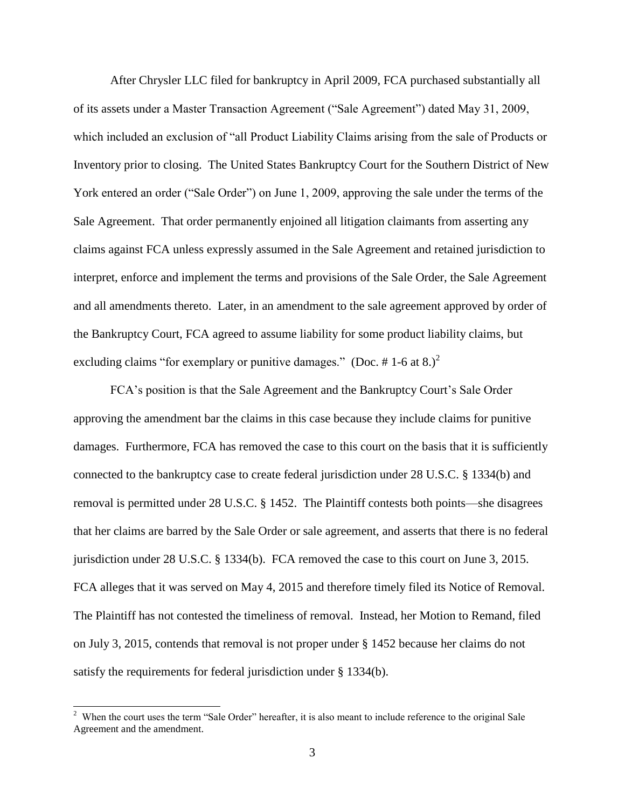After Chrysler LLC filed for bankruptcy in April 2009, FCA purchased substantially all of its assets under a Master Transaction Agreement ("Sale Agreement") dated May 31, 2009, which included an exclusion of "all Product Liability Claims arising from the sale of Products or Inventory prior to closing. The United States Bankruptcy Court for the Southern District of New York entered an order ("Sale Order") on June 1, 2009, approving the sale under the terms of the Sale Agreement. That order permanently enjoined all litigation claimants from asserting any claims against FCA unless expressly assumed in the Sale Agreement and retained jurisdiction to interpret, enforce and implement the terms and provisions of the Sale Order, the Sale Agreement and all amendments thereto. Later, in an amendment to the sale agreement approved by order of the Bankruptcy Court, FCA agreed to assume liability for some product liability claims, but excluding claims "for exemplary or punitive damages." (Doc. #1-6 at 8.)<sup>2</sup>

FCA's position is that the Sale Agreement and the Bankruptcy Court's Sale Order approving the amendment bar the claims in this case because they include claims for punitive damages. Furthermore, FCA has removed the case to this court on the basis that it is sufficiently connected to the bankruptcy case to create federal jurisdiction under 28 U.S.C. § 1334(b) and removal is permitted under 28 U.S.C. § 1452. The Plaintiff contests both points—she disagrees that her claims are barred by the Sale Order or sale agreement, and asserts that there is no federal jurisdiction under 28 U.S.C. § 1334(b). FCA removed the case to this court on June 3, 2015. FCA alleges that it was served on May 4, 2015 and therefore timely filed its Notice of Removal. The Plaintiff has not contested the timeliness of removal. Instead, her Motion to Remand, filed on July 3, 2015, contends that removal is not proper under § 1452 because her claims do not satisfy the requirements for federal jurisdiction under § 1334(b).

<sup>&</sup>lt;sup>2</sup> When the court uses the term "Sale Order" hereafter, it is also meant to include reference to the original Sale Agreement and the amendment.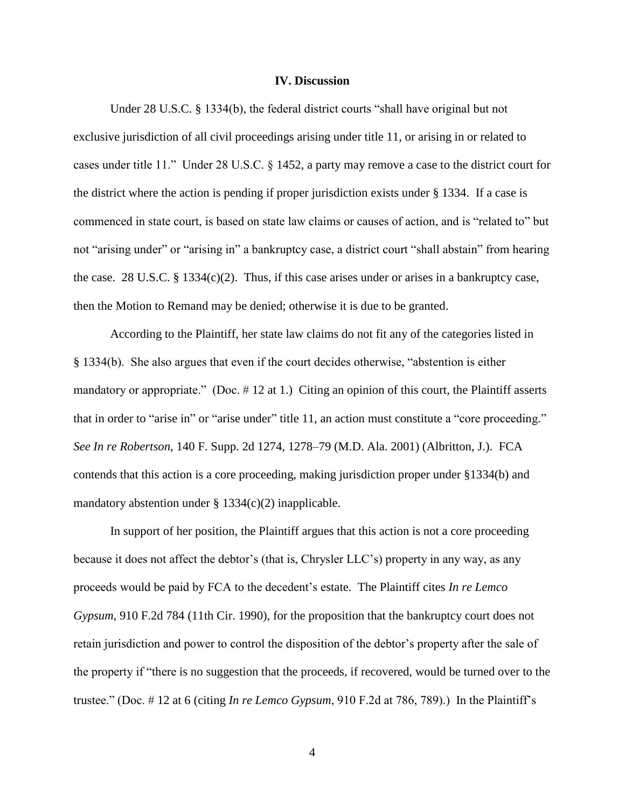#### **IV. Discussion**

Under 28 U.S.C. § 1334(b), the federal district courts "shall have original but not exclusive jurisdiction of all civil proceedings arising under title 11, or arising in or related to cases under title 11." Under 28 U.S.C. § 1452, a party may remove a case to the district court for the district where the action is pending if proper jurisdiction exists under § 1334. If a case is commenced in state court, is based on state law claims or causes of action, and is "related to" but not "arising under" or "arising in" a bankruptcy case, a district court "shall abstain" from hearing the case. 28 U.S.C.  $\S 1334(c)(2)$ . Thus, if this case arises under or arises in a bankruptcy case, then the Motion to Remand may be denied; otherwise it is due to be granted.

According to the Plaintiff, her state law claims do not fit any of the categories listed in § 1334(b). She also argues that even if the court decides otherwise, "abstention is either mandatory or appropriate." (Doc. # 12 at 1.) Citing an opinion of this court, the Plaintiff asserts that in order to "arise in" or "arise under" title 11, an action must constitute a "core proceeding." *See In re Robertson*, 140 F. Supp. 2d 1274, 1278–79 (M.D. Ala. 2001) (Albritton, J.). FCA contends that this action is a core proceeding, making jurisdiction proper under §1334(b) and mandatory abstention under  $\S$  1334(c)(2) inapplicable.

In support of her position, the Plaintiff argues that this action is not a core proceeding because it does not affect the debtor's (that is, Chrysler LLC's) property in any way, as any proceeds would be paid by FCA to the decedent's estate. The Plaintiff cites *In re Lemco Gypsum*, 910 F.2d 784 (11th Cir. 1990), for the proposition that the bankruptcy court does not retain jurisdiction and power to control the disposition of the debtor's property after the sale of the property if "there is no suggestion that the proceeds, if recovered, would be turned over to the trustee." (Doc. # 12 at 6 (citing *In re Lemco Gypsum*, 910 F.2d at 786, 789).) In the Plaintiff's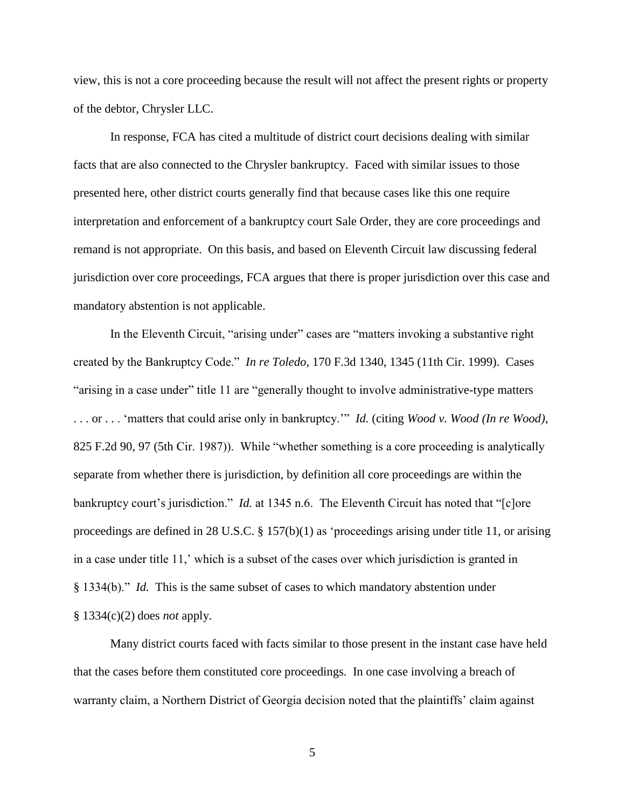view, this is not a core proceeding because the result will not affect the present rights or property of the debtor, Chrysler LLC.

In response, FCA has cited a multitude of district court decisions dealing with similar facts that are also connected to the Chrysler bankruptcy. Faced with similar issues to those presented here, other district courts generally find that because cases like this one require interpretation and enforcement of a bankruptcy court Sale Order, they are core proceedings and remand is not appropriate. On this basis, and based on Eleventh Circuit law discussing federal jurisdiction over core proceedings, FCA argues that there is proper jurisdiction over this case and mandatory abstention is not applicable.

In the Eleventh Circuit, "arising under" cases are "matters invoking a substantive right created by the Bankruptcy Code." *In re Toledo*, 170 F.3d 1340, 1345 (11th Cir. 1999). Cases "arising in a case under" title 11 are "generally thought to involve administrative-type matters . . . or . . . 'matters that could arise only in bankruptcy.'" *Id.* (citing *Wood v. Wood (In re Wood)*, 825 F.2d 90, 97 (5th Cir. 1987)). While "whether something is a core proceeding is analytically separate from whether there is jurisdiction, by definition all core proceedings are within the bankruptcy court's jurisdiction." *Id.* at 1345 n.6. The Eleventh Circuit has noted that "[c]ore proceedings are defined in 28 U.S.C. § 157(b)(1) as 'proceedings arising under title 11, or arising in a case under title 11,' which is a subset of the cases over which jurisdiction is granted in § 1334(b)." *Id.* This is the same subset of cases to which mandatory abstention under § 1334(c)(2) does *not* apply.

Many district courts faced with facts similar to those present in the instant case have held that the cases before them constituted core proceedings. In one case involving a breach of warranty claim, a Northern District of Georgia decision noted that the plaintiffs' claim against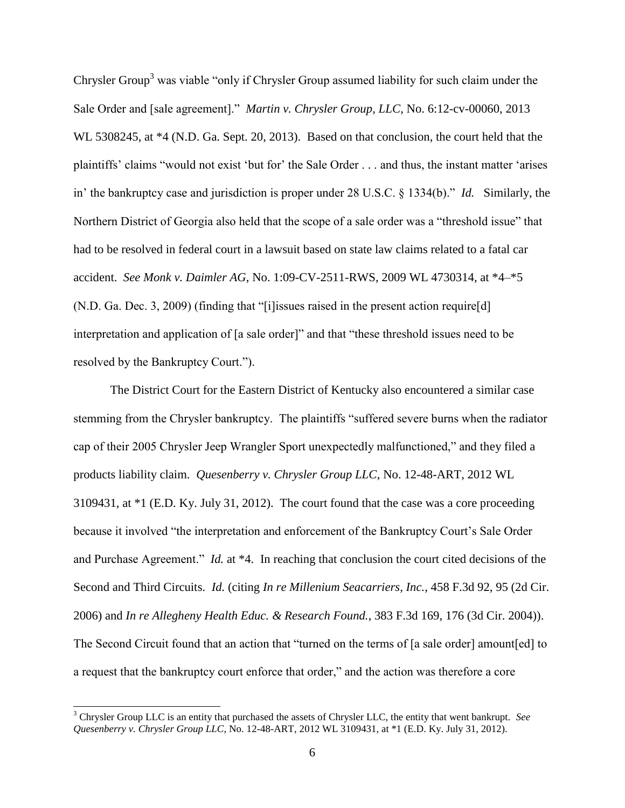Chrysler Group<sup>3</sup> was viable "only if Chrysler Group assumed liability for such claim under the Sale Order and [sale agreement]." *Martin v. Chrysler Group, LLC*, No. 6:12-cv-00060, 2013 WL 5308245, at \*4 (N.D. Ga. Sept. 20, 2013). Based on that conclusion, the court held that the plaintiffs' claims "would not exist 'but for' the Sale Order . . . and thus, the instant matter 'arises in' the bankruptcy case and jurisdiction is proper under 28 U.S.C. § 1334(b)." *Id.* Similarly, the Northern District of Georgia also held that the scope of a sale order was a "threshold issue" that had to be resolved in federal court in a lawsuit based on state law claims related to a fatal car accident. *See Monk v. Daimler AG*, No. 1:09-CV-2511-RWS, 2009 WL 4730314, at \*4–\*5 (N.D. Ga. Dec. 3, 2009) (finding that "[i]issues raised in the present action require[d] interpretation and application of [a sale order]" and that "these threshold issues need to be resolved by the Bankruptcy Court.").

The District Court for the Eastern District of Kentucky also encountered a similar case stemming from the Chrysler bankruptcy. The plaintiffs "suffered severe burns when the radiator cap of their 2005 Chrysler Jeep Wrangler Sport unexpectedly malfunctioned," and they filed a products liability claim. *Quesenberry v. Chrysler Group LLC*, No. 12-48-ART, 2012 WL 3109431, at \*1 (E.D. Ky. July 31, 2012). The court found that the case was a core proceeding because it involved "the interpretation and enforcement of the Bankruptcy Court's Sale Order and Purchase Agreement." *Id.* at \*4. In reaching that conclusion the court cited decisions of the Second and Third Circuits. *Id.* (citing *In re Millenium Seacarriers, Inc.*, 458 F.3d 92, 95 (2d Cir. 2006) and *In re Allegheny Health Educ. & Research Found.*, 383 F.3d 169, 176 (3d Cir. 2004)). The Second Circuit found that an action that "turned on the terms of [a sale order] amount[ed] to a request that the bankruptcy court enforce that order," and the action was therefore a core

 $\overline{a}$ 

<sup>3</sup> Chrysler Group LLC is an entity that purchased the assets of Chrysler LLC, the entity that went bankrupt. *See Quesenberry v. Chrysler Group LLC*, No. 12-48-ART, 2012 WL 3109431, at \*1 (E.D. Ky. July 31, 2012).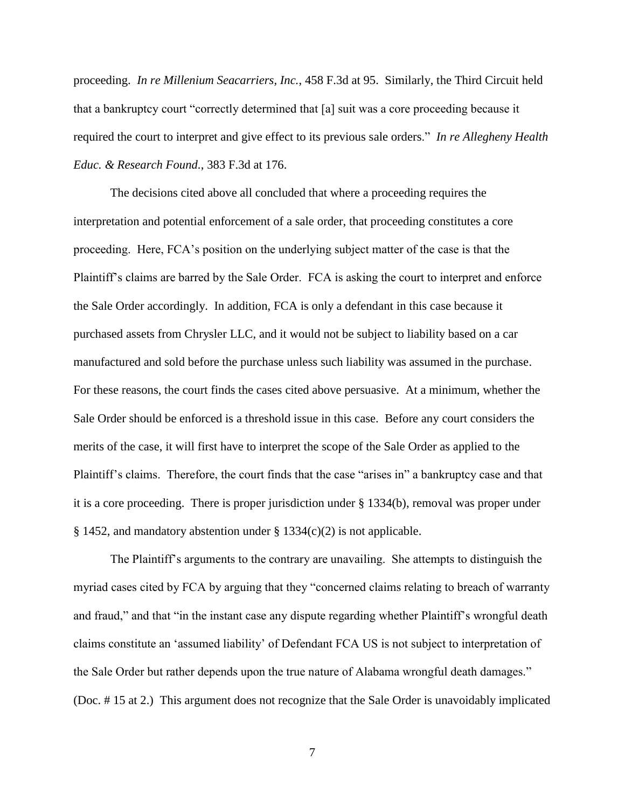proceeding. *In re Millenium Seacarriers, Inc.*, 458 F.3d at 95. Similarly, the Third Circuit held that a bankruptcy court "correctly determined that [a] suit was a core proceeding because it required the court to interpret and give effect to its previous sale orders." *In re Allegheny Health Educ. & Research Found.*, 383 F.3d at 176.

The decisions cited above all concluded that where a proceeding requires the interpretation and potential enforcement of a sale order, that proceeding constitutes a core proceeding. Here, FCA's position on the underlying subject matter of the case is that the Plaintiff's claims are barred by the Sale Order. FCA is asking the court to interpret and enforce the Sale Order accordingly. In addition, FCA is only a defendant in this case because it purchased assets from Chrysler LLC, and it would not be subject to liability based on a car manufactured and sold before the purchase unless such liability was assumed in the purchase. For these reasons, the court finds the cases cited above persuasive. At a minimum, whether the Sale Order should be enforced is a threshold issue in this case. Before any court considers the merits of the case, it will first have to interpret the scope of the Sale Order as applied to the Plaintiff's claims. Therefore, the court finds that the case "arises in" a bankruptcy case and that it is a core proceeding. There is proper jurisdiction under § 1334(b), removal was proper under § 1452, and mandatory abstention under § 1334(c)(2) is not applicable.

The Plaintiff's arguments to the contrary are unavailing. She attempts to distinguish the myriad cases cited by FCA by arguing that they "concerned claims relating to breach of warranty and fraud," and that "in the instant case any dispute regarding whether Plaintiff's wrongful death claims constitute an 'assumed liability' of Defendant FCA US is not subject to interpretation of the Sale Order but rather depends upon the true nature of Alabama wrongful death damages." (Doc. # 15 at 2.) This argument does not recognize that the Sale Order is unavoidably implicated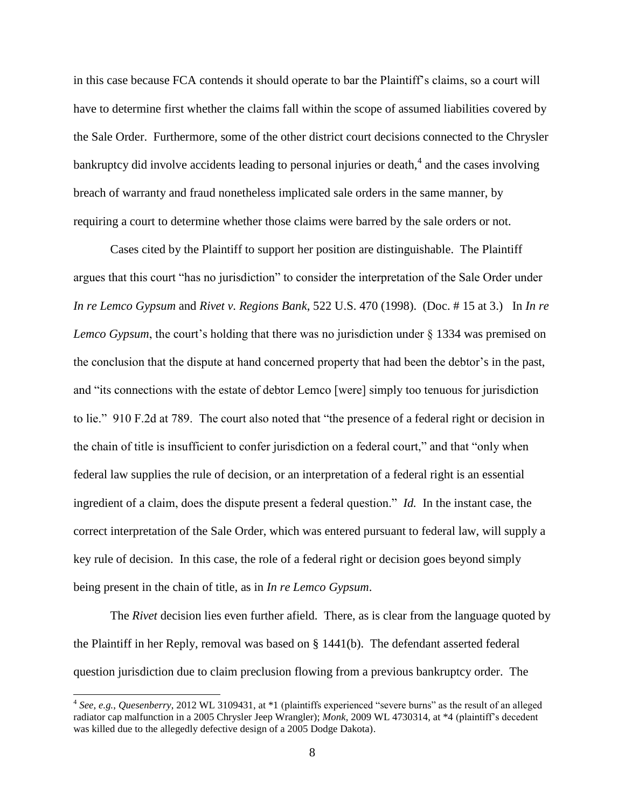in this case because FCA contends it should operate to bar the Plaintiff's claims, so a court will have to determine first whether the claims fall within the scope of assumed liabilities covered by the Sale Order. Furthermore, some of the other district court decisions connected to the Chrysler bankruptcy did involve accidents leading to personal injuries or death,  $4$  and the cases involving breach of warranty and fraud nonetheless implicated sale orders in the same manner, by requiring a court to determine whether those claims were barred by the sale orders or not.

Cases cited by the Plaintiff to support her position are distinguishable. The Plaintiff argues that this court "has no jurisdiction" to consider the interpretation of the Sale Order under *In re Lemco Gypsum* and *Rivet v. Regions Bank*, 522 U.S. 470 (1998). (Doc. # 15 at 3.) In *In re Lemco Gypsum*, the court's holding that there was no jurisdiction under § 1334 was premised on the conclusion that the dispute at hand concerned property that had been the debtor's in the past, and "its connections with the estate of debtor Lemco [were] simply too tenuous for jurisdiction to lie." 910 F.2d at 789. The court also noted that "the presence of a federal right or decision in the chain of title is insufficient to confer jurisdiction on a federal court," and that "only when federal law supplies the rule of decision, or an interpretation of a federal right is an essential ingredient of a claim, does the dispute present a federal question." *Id.* In the instant case, the correct interpretation of the Sale Order, which was entered pursuant to federal law, will supply a key rule of decision. In this case, the role of a federal right or decision goes beyond simply being present in the chain of title, as in *In re Lemco Gypsum*.

The *Rivet* decision lies even further afield. There, as is clear from the language quoted by the Plaintiff in her Reply, removal was based on § 1441(b). The defendant asserted federal question jurisdiction due to claim preclusion flowing from a previous bankruptcy order. The

l

<sup>4</sup> *See, e.g.*, *Quesenberry*, 2012 WL 3109431, at \*1 (plaintiffs experienced "severe burns" as the result of an alleged radiator cap malfunction in a 2005 Chrysler Jeep Wrangler); *Monk*, 2009 WL 4730314, at \*4 (plaintiff's decedent was killed due to the allegedly defective design of a 2005 Dodge Dakota).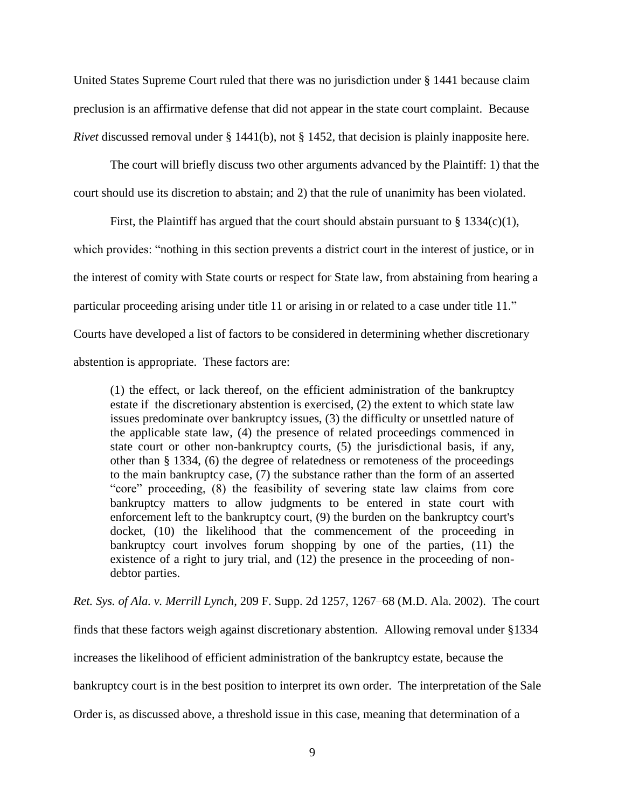United States Supreme Court ruled that there was no jurisdiction under § 1441 because claim preclusion is an affirmative defense that did not appear in the state court complaint. Because *Rivet* discussed removal under § 1441(b), not § 1452, that decision is plainly inapposite here.

The court will briefly discuss two other arguments advanced by the Plaintiff: 1) that the court should use its discretion to abstain; and 2) that the rule of unanimity has been violated.

First, the Plaintiff has argued that the court should abstain pursuant to  $\S 1334(c)(1)$ , which provides: "nothing in this section prevents a district court in the interest of justice, or in the interest of comity with State courts or respect for State law, from abstaining from hearing a particular proceeding arising under title 11 or arising in or related to a case under title 11."

Courts have developed a list of factors to be considered in determining whether discretionary

abstention is appropriate. These factors are:

(1) the effect, or lack thereof, on the efficient administration of the bankruptcy estate if the discretionary abstention is exercised, (2) the extent to which state law issues predominate over bankruptcy issues, (3) the difficulty or unsettled nature of the applicable state law, (4) the presence of related proceedings commenced in state court or other non-bankruptcy courts, (5) the jurisdictional basis, if any, other than § 1334, (6) the degree of relatedness or remoteness of the proceedings to the main bankruptcy case, (7) the substance rather than the form of an asserted "core" proceeding, (8) the feasibility of severing state law claims from core bankruptcy matters to allow judgments to be entered in state court with enforcement left to the bankruptcy court, (9) the burden on the bankruptcy court's docket, (10) the likelihood that the commencement of the proceeding in bankruptcy court involves forum shopping by one of the parties, (11) the existence of a right to jury trial, and (12) the presence in the proceeding of nondebtor parties.

*Ret. Sys. of Ala. v. Merrill Lynch*, 209 F. Supp. 2d 1257, 1267–68 (M.D. Ala. 2002). The court

finds that these factors weigh against discretionary abstention. Allowing removal under §1334

increases the likelihood of efficient administration of the bankruptcy estate, because the

bankruptcy court is in the best position to interpret its own order. The interpretation of the Sale

Order is, as discussed above, a threshold issue in this case, meaning that determination of a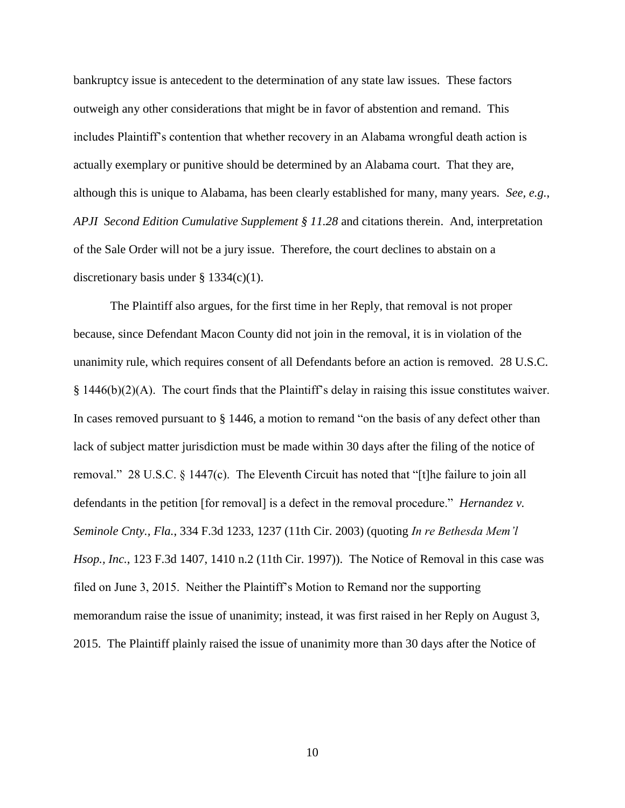bankruptcy issue is antecedent to the determination of any state law issues. These factors outweigh any other considerations that might be in favor of abstention and remand. This includes Plaintiff's contention that whether recovery in an Alabama wrongful death action is actually exemplary or punitive should be determined by an Alabama court. That they are, although this is unique to Alabama, has been clearly established for many, many years. *See, e.g.*, *APJI Second Edition Cumulative Supplement § 11.28* and citations therein. And, interpretation of the Sale Order will not be a jury issue. Therefore, the court declines to abstain on a discretionary basis under  $\S$  1334(c)(1).

The Plaintiff also argues, for the first time in her Reply, that removal is not proper because, since Defendant Macon County did not join in the removal, it is in violation of the unanimity rule, which requires consent of all Defendants before an action is removed. 28 U.S.C.  $§$  1446(b)(2)(A). The court finds that the Plaintiff's delay in raising this issue constitutes waiver. In cases removed pursuant to  $\S$  1446, a motion to remand "on the basis of any defect other than lack of subject matter jurisdiction must be made within 30 days after the filing of the notice of removal." 28 U.S.C. § 1447(c). The Eleventh Circuit has noted that "[t]he failure to join all defendants in the petition [for removal] is a defect in the removal procedure." *Hernandez v. Seminole Cnty., Fla.*, 334 F.3d 1233, 1237 (11th Cir. 2003) (quoting *In re Bethesda Mem'l Hsop., Inc.*, 123 F.3d 1407, 1410 n.2 (11th Cir. 1997)). The Notice of Removal in this case was filed on June 3, 2015. Neither the Plaintiff's Motion to Remand nor the supporting memorandum raise the issue of unanimity; instead, it was first raised in her Reply on August 3, 2015. The Plaintiff plainly raised the issue of unanimity more than 30 days after the Notice of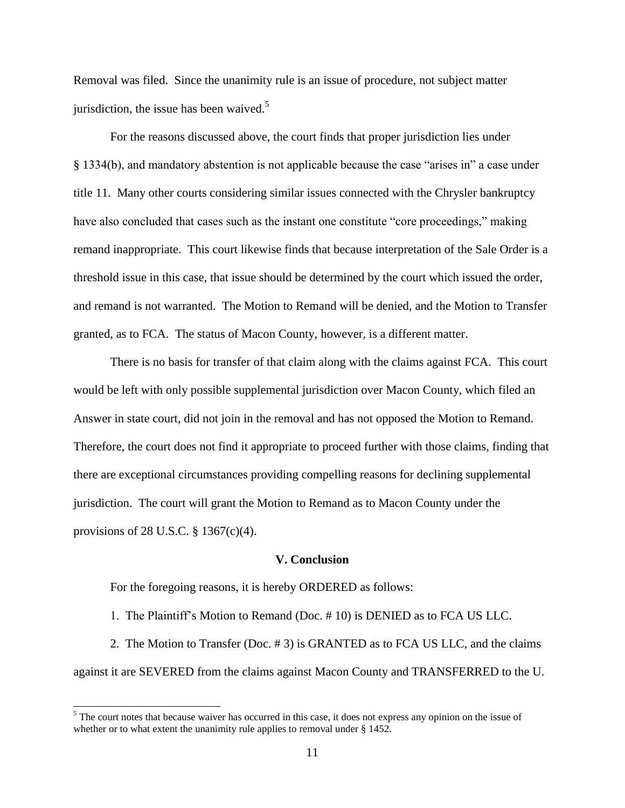Removal was filed. Since the unanimity rule is an issue of procedure, not subject matter jurisdiction, the issue has been waived. $5$ 

For the reasons discussed above, the court finds that proper jurisdiction lies under § 1334(b), and mandatory abstention is not applicable because the case "arises in" a case under title 11. Many other courts considering similar issues connected with the Chrysler bankruptcy have also concluded that cases such as the instant one constitute "core proceedings," making remand inappropriate. This court likewise finds that because interpretation of the Sale Order is a threshold issue in this case, that issue should be determined by the court which issued the order, and remand is not warranted. The Motion to Remand will be denied, and the Motion to Transfer granted, as to FCA. The status of Macon County, however, is a different matter.

There is no basis for transfer of that claim along with the claims against FCA. This court would be left with only possible supplemental jurisdiction over Macon County, which filed an Answer in state court, did not join in the removal and has not opposed the Motion to Remand. Therefore, the court does not find it appropriate to proceed further with those claims, finding that there are exceptional circumstances providing compelling reasons for declining supplemental jurisdiction. The court will grant the Motion to Remand as to Macon County under the provisions of 28 U.S.C. § 1367(c)(4).

### **V. Conclusion**

For the foregoing reasons, it is hereby ORDERED as follows:

 $\overline{a}$ 

1. The Plaintiff's Motion to Remand (Doc. # 10) is DENIED as to FCA US LLC.

2. The Motion to Transfer (Doc. # 3) is GRANTED as to FCA US LLC, and the claims against it are SEVERED from the claims against Macon County and TRANSFERRED to the U.

 $<sup>5</sup>$  The court notes that because waiver has occurred in this case, it does not express any opinion on the issue of</sup> whether or to what extent the unanimity rule applies to removal under § 1452.